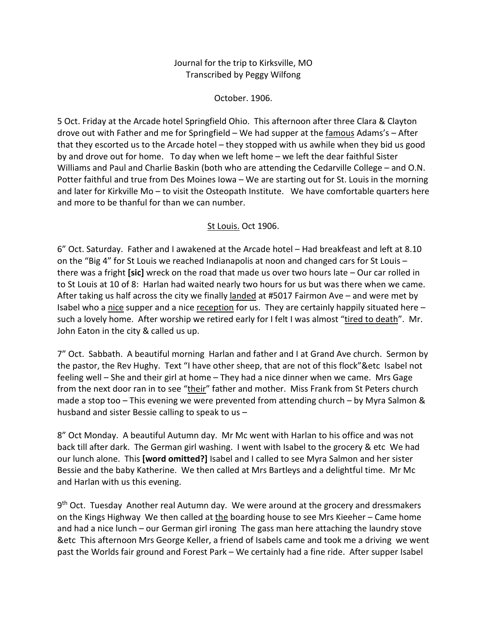## Journal for the trip to Kirksville, MO Transcribed by Peggy Wilfong

October. 1906.

5 Oct. Friday at the Arcade hotel Springfield Ohio. This afternoon after three Clara & Clayton drove out with Father and me for Springfield – We had supper at the famous Adams's – After that they escorted us to the Arcade hotel – they stopped with us awhile when they bid us good by and drove out for home. To day when we left home – we left the dear faithful Sister Williams and Paul and Charlie Baskin (both who are attending the Cedarville College – and O.N. Potter faithful and true from Des Moines Iowa – We are starting out for St. Louis in the morning and later for Kirkville Mo – to visit the Osteopath Institute. We have comfortable quarters here and more to be thanful for than we can number.

## St Louis. Oct 1906.

6" Oct. Saturday. Father and I awakened at the Arcade hotel – Had breakfeast and left at 8.10 on the "Big 4" for St Louis we reached Indianapolis at noon and changed cars for St Louis – there was a fright **[sic]** wreck on the road that made us over two hours late – Our car rolled in to St Louis at 10 of 8: Harlan had waited nearly two hours for us but was there when we came. After taking us half across the city we finally landed at #5017 Fairmon Ave – and were met by Isabel who a nice supper and a nice reception for us. They are certainly happily situated here  $$ such a lovely home. After worship we retired early for I felt I was almost "tired to death". Mr. John Eaton in the city & called us up.

7" Oct. Sabbath. A beautiful morning Harlan and father and I at Grand Ave church. Sermon by the pastor, the Rev Hughy. Text "I have other sheep, that are not of this flock"&etc Isabel not feeling well – She and their girl at home – They had a nice dinner when we came. Mrs Gage from the next door ran in to see "their" father and mother. Miss Frank from St Peters church made a stop too – This evening we were prevented from attending church – by Myra Salmon & husband and sister Bessie calling to speak to us –

8" Oct Monday. A beautiful Autumn day. Mr Mc went with Harlan to his office and was not back till after dark. The German girl washing. I went with Isabel to the grocery & etc We had our lunch alone. This **[word omitted?]** Isabel and I called to see Myra Salmon and her sister Bessie and the baby Katherine. We then called at Mrs Bartleys and a delightful time. Mr Mc and Harlan with us this evening.

 $9<sup>th</sup>$  Oct. Tuesday Another real Autumn day. We were around at the grocery and dressmakers on the Kings Highway We then called at the boarding house to see Mrs Kieeher – Came home and had a nice lunch – our German girl ironing The gass man here attaching the laundry stove &etc This afternoon Mrs George Keller, a friend of Isabels came and took me a driving we went past the Worlds fair ground and Forest Park – We certainly had a fine ride. After supper Isabel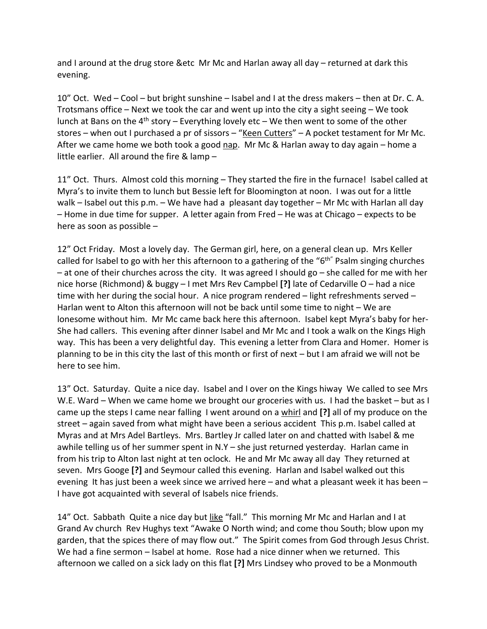and I around at the drug store &etc Mr Mc and Harlan away all day – returned at dark this evening.

10" Oct. Wed – Cool – but bright sunshine – Isabel and I at the dress makers – then at Dr. C. A. Trotsmans office – Next we took the car and went up into the city a sight seeing – We took lunch at Bans on the  $4<sup>th</sup>$  story – Everything lovely etc – We then went to some of the other stores – when out I purchased a pr of sissors – "Keen Cutters" – A pocket testament for Mr Mc. After we came home we both took a good nap. Mr Mc & Harlan away to day again – home a little earlier. All around the fire & lamp –

11" Oct. Thurs. Almost cold this morning – They started the fire in the furnace! Isabel called at Myra's to invite them to lunch but Bessie left for Bloomington at noon. I was out for a little walk – Isabel out this p.m. – We have had a pleasant day together – Mr Mc with Harlan all day – Home in due time for supper. A letter again from Fred – He was at Chicago – expects to be here as soon as possible –

12" Oct Friday. Most a lovely day. The German girl, here, on a general clean up. Mrs Keller called for Isabel to go with her this afternoon to a gathering of the " $6<sup>th</sup>$ " Psalm singing churches – at one of their churches across the city. It was agreed I should go – she called for me with her nice horse (Richmond) & buggy – I met Mrs Rev Campbel **[?]** late of Cedarville O – had a nice time with her during the social hour. A nice program rendered – light refreshments served – Harlan went to Alton this afternoon will not be back until some time to night – We are lonesome without him. Mr Mc came back here this afternoon. Isabel kept Myra's baby for her-She had callers. This evening after dinner Isabel and Mr Mc and I took a walk on the Kings High way. This has been a very delightful day. This evening a letter from Clara and Homer. Homer is planning to be in this city the last of this month or first of next – but I am afraid we will not be here to see him.

13" Oct. Saturday. Quite a nice day. Isabel and I over on the Kings hiway We called to see Mrs W.E. Ward – When we came home we brought our groceries with us. I had the basket – but as I came up the steps I came near falling I went around on a whirl and **[?]** all of my produce on the street – again saved from what might have been a serious accident This p.m. Isabel called at Myras and at Mrs Adel Bartleys. Mrs. Bartley Jr called later on and chatted with Isabel & me awhile telling us of her summer spent in N.Y – she just returned yesterday. Harlan came in from his trip to Alton last night at ten oclock. He and Mr Mc away all day They returned at seven. Mrs Googe **[?]** and Seymour called this evening. Harlan and Isabel walked out this evening It has just been a week since we arrived here – and what a pleasant week it has been – I have got acquainted with several of Isabels nice friends.

14" Oct. Sabbath Quite a nice day but like "fall." This morning Mr Mc and Harlan and I at Grand Av church Rev Hughys text "Awake O North wind; and come thou South; blow upon my garden, that the spices there of may flow out." The Spirit comes from God through Jesus Christ. We had a fine sermon – Isabel at home. Rose had a nice dinner when we returned. This afternoon we called on a sick lady on this flat **[?]** Mrs Lindsey who proved to be a Monmouth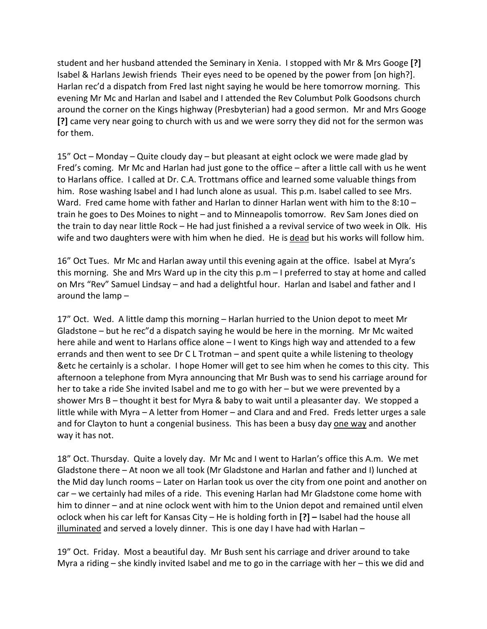student and her husband attended the Seminary in Xenia. I stopped with Mr & Mrs Googe **[?]** Isabel & Harlans Jewish friends Their eyes need to be opened by the power from [on high?]. Harlan rec'd a dispatch from Fred last night saying he would be here tomorrow morning. This evening Mr Mc and Harlan and Isabel and I attended the Rev Columbut Polk Goodsons church around the corner on the Kings highway (Presbyterian) had a good sermon. Mr and Mrs Googe **[?]** came very near going to church with us and we were sorry they did not for the sermon was for them.

15" Oct – Monday – Quite cloudy day – but pleasant at eight oclock we were made glad by Fred's coming. Mr Mc and Harlan had just gone to the office – after a little call with us he went to Harlans office. I called at Dr. C.A. Trottmans office and learned some valuable things from him. Rose washing Isabel and I had lunch alone as usual. This p.m. Isabel called to see Mrs. Ward. Fred came home with father and Harlan to dinner Harlan went with him to the  $8:10$ train he goes to Des Moines to night – and to Minneapolis tomorrow. Rev Sam Jones died on the train to day near little Rock – He had just finished a a revival service of two week in Olk. His wife and two daughters were with him when he died. He is dead but his works will follow him.

16" Oct Tues. Mr Mc and Harlan away until this evening again at the office. Isabel at Myra's this morning. She and Mrs Ward up in the city this p.m – I preferred to stay at home and called on Mrs "Rev" Samuel Lindsay – and had a delightful hour. Harlan and Isabel and father and I around the lamp –

17" Oct. Wed. A little damp this morning – Harlan hurried to the Union depot to meet Mr Gladstone – but he rec"d a dispatch saying he would be here in the morning. Mr Mc waited here ahile and went to Harlans office alone – I went to Kings high way and attended to a few errands and then went to see Dr C L Trotman – and spent quite a while listening to theology &etc he certainly is a scholar. I hope Homer will get to see him when he comes to this city. This afternoon a telephone from Myra announcing that Mr Bush was to send his carriage around for her to take a ride She invited Isabel and me to go with her – but we were prevented by a shower Mrs B – thought it best for Myra & baby to wait until a pleasanter day. We stopped a little while with Myra – A letter from Homer – and Clara and and Fred. Freds letter urges a sale and for Clayton to hunt a congenial business. This has been a busy day one way and another way it has not.

18" Oct. Thursday. Quite a lovely day. Mr Mc and I went to Harlan's office this A.m. We met Gladstone there – At noon we all took (Mr Gladstone and Harlan and father and I) lunched at the Mid day lunch rooms – Later on Harlan took us over the city from one point and another on car – we certainly had miles of a ride. This evening Harlan had Mr Gladstone come home with him to dinner – and at nine oclock went with him to the Union depot and remained until elven oclock when his car left for Kansas City – He is holding forth in **[?] –** Isabel had the house all illuminated and served a lovely dinner. This is one day I have had with Harlan –

19" Oct. Friday. Most a beautiful day. Mr Bush sent his carriage and driver around to take Myra a riding – she kindly invited Isabel and me to go in the carriage with her – this we did and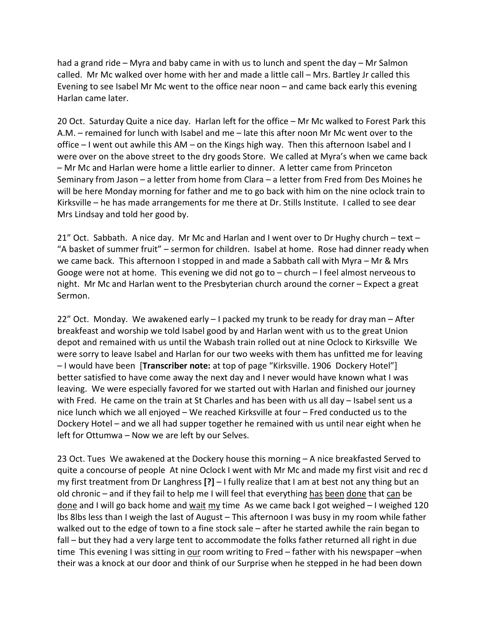had a grand ride – Myra and baby came in with us to lunch and spent the day – Mr Salmon called. Mr Mc walked over home with her and made a little call – Mrs. Bartley Jr called this Evening to see Isabel Mr Mc went to the office near noon – and came back early this evening Harlan came later.

20 Oct. Saturday Quite a nice day. Harlan left for the office – Mr Mc walked to Forest Park this A.M. – remained for lunch with Isabel and me – late this after noon Mr Mc went over to the office – I went out awhile this AM – on the Kings high way. Then this afternoon Isabel and I were over on the above street to the dry goods Store. We called at Myra's when we came back – Mr Mc and Harlan were home a little earlier to dinner. A letter came from Princeton Seminary from Jason – a letter from home from Clara – a letter from Fred from Des Moines he will be here Monday morning for father and me to go back with him on the nine oclock train to Kirksville – he has made arrangements for me there at Dr. Stills Institute. I called to see dear Mrs Lindsay and told her good by.

21" Oct. Sabbath. A nice day. Mr Mc and Harlan and I went over to Dr Hughy church – text – "A basket of summer fruit" – sermon for children. Isabel at home. Rose had dinner ready when we came back. This afternoon I stopped in and made a Sabbath call with Myra – Mr & Mrs Googe were not at home. This evening we did not go to – church – I feel almost nerveous to night. Mr Mc and Harlan went to the Presbyterian church around the corner – Expect a great Sermon.

22" Oct. Monday. We awakened early – I packed my trunk to be ready for dray man – After breakfeast and worship we told Isabel good by and Harlan went with us to the great Union depot and remained with us until the Wabash train rolled out at nine Oclock to Kirksville We were sorry to leave Isabel and Harlan for our two weeks with them has unfitted me for leaving – I would have been [**Transcriber note:** at top of page "Kirksville. 1906 Dockery Hotel"] better satisfied to have come away the next day and I never would have known what I was leaving. We were especially favored for we started out with Harlan and finished our journey with Fred. He came on the train at St Charles and has been with us all day – Isabel sent us a nice lunch which we all enjoyed – We reached Kirksville at four – Fred conducted us to the Dockery Hotel – and we all had supper together he remained with us until near eight when he left for Ottumwa – Now we are left by our Selves.

23 Oct. Tues We awakened at the Dockery house this morning – A nice breakfasted Served to quite a concourse of people At nine Oclock I went with Mr Mc and made my first visit and rec d my first treatment from Dr Langhress **[?]** – I fully realize that I am at best not any thing but an old chronic – and if they fail to help me I will feel that everything has been done that can be done and I will go back home and wait my time As we came back I got weighed - I weighed 120 lbs 8lbs less than I weigh the last of August – This afternoon I was busy in my room while father walked out to the edge of town to a fine stock sale – after he started awhile the rain began to fall – but they had a very large tent to accommodate the folks father returned all right in due time This evening I was sitting in our room writing to Fred – father with his newspaper –when their was a knock at our door and think of our Surprise when he stepped in he had been down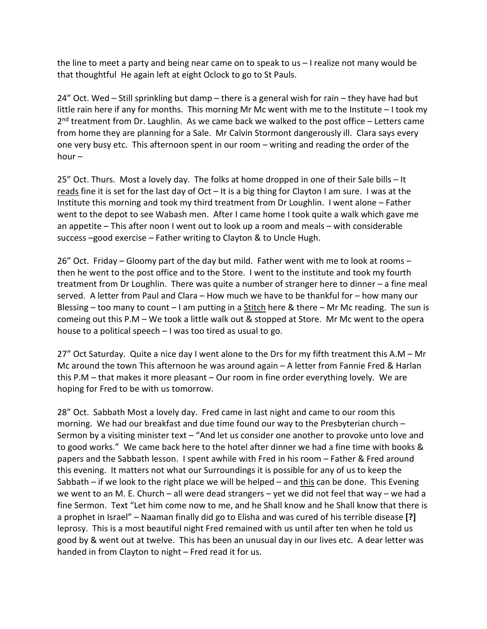the line to meet a party and being near came on to speak to us – I realize not many would be that thoughtful He again left at eight Oclock to go to St Pauls.

24" Oct. Wed – Still sprinkling but damp – there is a general wish for rain – they have had but little rain here if any for months. This morning Mr Mc went with me to the Institute – I took my  $2<sup>nd</sup>$  treatment from Dr. Laughlin. As we came back we walked to the post office – Letters came from home they are planning for a Sale. Mr Calvin Stormont dangerously ill. Clara says every one very busy etc. This afternoon spent in our room – writing and reading the order of the hour –

25" Oct. Thurs. Most a lovely day. The folks at home dropped in one of their Sale bills – It reads fine it is set for the last day of  $Oct - It$  is a big thing for Clayton I am sure. I was at the Institute this morning and took my third treatment from Dr Loughlin. I went alone – Father went to the depot to see Wabash men. After I came home I took quite a walk which gave me an appetite – This after noon I went out to look up a room and meals – with considerable success –good exercise – Father writing to Clayton & to Uncle Hugh.

26" Oct. Friday – Gloomy part of the day but mild. Father went with me to look at rooms – then he went to the post office and to the Store. I went to the institute and took my fourth treatment from Dr Loughlin. There was quite a number of stranger here to dinner – a fine meal served. A letter from Paul and Clara – How much we have to be thankful for – how many our Blessing – too many to count – I am putting in a Stitch here  $\&$  there – Mr Mc reading. The sun is comeing out this P.M – We took a little walk out & stopped at Store. Mr Mc went to the opera house to a political speech – I was too tired as usual to go.

27" Oct Saturday. Quite a nice day I went alone to the Drs for my fifth treatment this A.M – Mr Mc around the town This afternoon he was around again – A letter from Fannie Fred & Harlan this P.M – that makes it more pleasant – Our room in fine order everything lovely. We are hoping for Fred to be with us tomorrow.

28" Oct. Sabbath Most a lovely day. Fred came in last night and came to our room this morning. We had our breakfast and due time found our way to the Presbyterian church – Sermon by a visiting minister text – "And let us consider one another to provoke unto love and to good works." We came back here to the hotel after dinner we had a fine time with books & papers and the Sabbath lesson. I spent awhile with Fred in his room – Father & Fred around this evening. It matters not what our Surroundings it is possible for any of us to keep the Sabbath – if we look to the right place we will be helped – and this can be done. This Evening we went to an M. E. Church – all were dead strangers – yet we did not feel that way – we had a fine Sermon. Text "Let him come now to me, and he Shall know and he Shall know that there is a prophet in Israel" – Naaman finally did go to Elisha and was cured of his terrible disease **[?]** leprosy. This is a most beautiful night Fred remained with us until after ten when he told us good by & went out at twelve. This has been an unusual day in our lives etc. A dear letter was handed in from Clayton to night – Fred read it for us.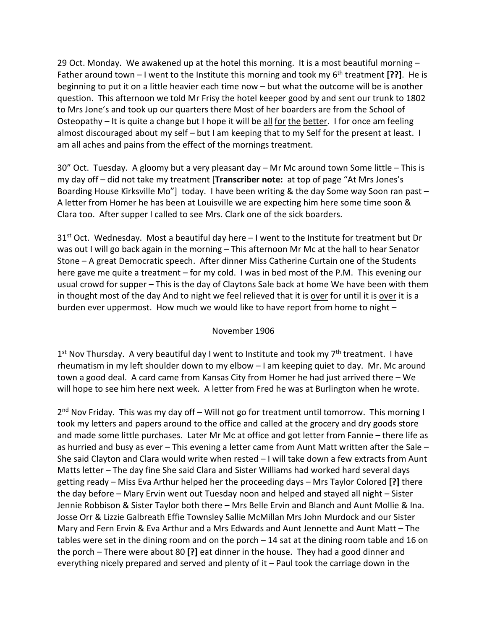29 Oct. Monday. We awakened up at the hotel this morning. It is a most beautiful morning  $-$ Father around town – I went to the Institute this morning and took my 6<sup>th</sup> treatment [??]. He is beginning to put it on a little heavier each time now – but what the outcome will be is another question. This afternoon we told Mr Frisy the hotel keeper good by and sent our trunk to 1802 to Mrs Jone's and took up our quarters there Most of her boarders are from the School of Osteopathy – It is quite a change but I hope it will be all for the better. I for once am feeling almost discouraged about my self – but I am keeping that to my Self for the present at least. I am all aches and pains from the effect of the mornings treatment.

30" Oct. Tuesday. A gloomy but a very pleasant day – Mr Mc around town Some little – This is my day off – did not take my treatment [**Transcriber note:** at top of page "At Mrs Jones's Boarding House Kirksville Mo"] today. I have been writing & the day Some way Soon ran past -A letter from Homer he has been at Louisville we are expecting him here some time soon & Clara too. After supper I called to see Mrs. Clark one of the sick boarders.

 $31<sup>st</sup>$  Oct. Wednesday. Most a beautiful day here  $-1$  went to the Institute for treatment but Dr was out I will go back again in the morning – This afternoon Mr Mc at the hall to hear Senator Stone – A great Democratic speech. After dinner Miss Catherine Curtain one of the Students here gave me quite a treatment – for my cold. I was in bed most of the P.M. This evening our usual crowd for supper – This is the day of Claytons Sale back at home We have been with them in thought most of the day And to night we feel relieved that it is over for until it is over it is a burden ever uppermost. How much we would like to have report from home to night –

## November 1906

 $1<sup>st</sup>$  Nov Thursday. A very beautiful day I went to Institute and took my  $7<sup>th</sup>$  treatment. I have rheumatism in my left shoulder down to my elbow – I am keeping quiet to day. Mr. Mc around town a good deal. A card came from Kansas City from Homer he had just arrived there – We will hope to see him here next week. A letter from Fred he was at Burlington when he wrote.

 $2<sup>nd</sup>$  Nov Friday. This was my day off – Will not go for treatment until tomorrow. This morning I took my letters and papers around to the office and called at the grocery and dry goods store and made some little purchases. Later Mr Mc at office and got letter from Fannie – there life as as hurried and busy as ever – This evening a letter came from Aunt Matt written after the Sale – She said Clayton and Clara would write when rested – I will take down a few extracts from Aunt Matts letter – The day fine She said Clara and Sister Williams had worked hard several days getting ready – Miss Eva Arthur helped her the proceeding days – Mrs Taylor Colored **[?]** there the day before – Mary Ervin went out Tuesday noon and helped and stayed all night – Sister Jennie Robbison & Sister Taylor both there – Mrs Belle Ervin and Blanch and Aunt Mollie & Ina. Josse Orr & Lizzie Galbreath Effie Townsley Sallie McMillan Mrs John Murdock and our Sister Mary and Fern Ervin & Eva Arthur and a Mrs Edwards and Aunt Jennette and Aunt Matt – The tables were set in the dining room and on the porch – 14 sat at the dining room table and 16 on the porch – There were about 80 **[?]** eat dinner in the house. They had a good dinner and everything nicely prepared and served and plenty of it – Paul took the carriage down in the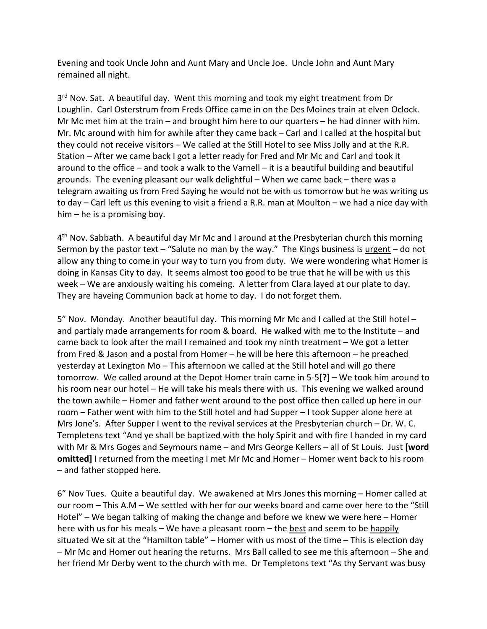Evening and took Uncle John and Aunt Mary and Uncle Joe. Uncle John and Aunt Mary remained all night.

3<sup>rd</sup> Nov. Sat. A beautiful day. Went this morning and took my eight treatment from Dr Loughlin. Carl Osterstrum from Freds Office came in on the Des Moines train at elven Oclock. Mr Mc met him at the train – and brought him here to our quarters – he had dinner with him. Mr. Mc around with him for awhile after they came back – Carl and I called at the hospital but they could not receive visitors – We called at the Still Hotel to see Miss Jolly and at the R.R. Station – After we came back I got a letter ready for Fred and Mr Mc and Carl and took it around to the office – and took a walk to the Varnell – it is a beautiful building and beautiful grounds. The evening pleasant our walk delightful – When we came back – there was a telegram awaiting us from Fred Saying he would not be with us tomorrow but he was writing us to day – Carl left us this evening to visit a friend a R.R. man at Moulton – we had a nice day with him – he is a promising boy.

4th Nov. Sabbath. A beautiful day Mr Mc and I around at the Presbyterian church this morning Sermon by the pastor text – "Salute no man by the way." The Kings business is urgent – do not allow any thing to come in your way to turn you from duty. We were wondering what Homer is doing in Kansas City to day. It seems almost too good to be true that he will be with us this week – We are anxiously waiting his comeing. A letter from Clara layed at our plate to day. They are haveing Communion back at home to day. I do not forget them.

5" Nov. Monday. Another beautiful day. This morning Mr Mc and I called at the Still hotel – and partialy made arrangements for room & board. He walked with me to the Institute – and came back to look after the mail I remained and took my ninth treatment – We got a letter from Fred & Jason and a postal from Homer – he will be here this afternoon – he preached yesterday at Lexington Mo – This afternoon we called at the Still hotel and will go there tomorrow. We called around at the Depot Homer train came in 5-5**[?]** – We took him around to his room near our hotel - He will take his meals there with us. This evening we walked around the town awhile – Homer and father went around to the post office then called up here in our room – Father went with him to the Still hotel and had Supper – I took Supper alone here at Mrs Jone's. After Supper I went to the revival services at the Presbyterian church – Dr. W. C. Templetens text "And ye shall be baptized with the holy Spirit and with fire I handed in my card with Mr & Mrs Goges and Seymours name – and Mrs George Kellers – all of St Louis.Just **[word omitted]** I returned from the meeting I met Mr Mc and Homer – Homer went back to his room – and father stopped here.

6" Nov Tues. Quite a beautiful day. We awakened at Mrs Jones this morning – Homer called at our room – This A.M – We settled with her for our weeks board and came over here to the "Still Hotel" – We began talking of making the change and before we knew we were here – Homer here with us for his meals - We have a pleasant room - the best and seem to be happily situated We sit at the "Hamilton table" – Homer with us most of the time – This is election day – Mr Mc and Homer out hearing the returns. Mrs Ball called to see me this afternoon – She and her friend Mr Derby went to the church with me. Dr Templetons text "As thy Servant was busy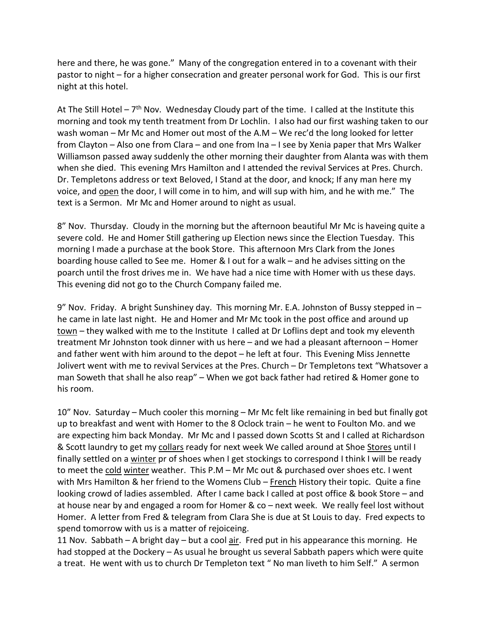here and there, he was gone." Many of the congregation entered in to a covenant with their pastor to night – for a higher consecration and greater personal work for God. This is our first night at this hotel.

At The Still Hotel –  $7<sup>th</sup>$  Nov. Wednesday Cloudy part of the time. I called at the Institute this morning and took my tenth treatment from Dr Lochlin. I also had our first washing taken to our wash woman – Mr Mc and Homer out most of the A.M – We rec'd the long looked for letter from Clayton – Also one from Clara – and one from Ina – I see by Xenia paper that Mrs Walker Williamson passed away suddenly the other morning their daughter from Alanta was with them when she died. This evening Mrs Hamilton and I attended the revival Services at Pres. Church. Dr. Templetons address or text Beloved, I Stand at the door, and knock; If any man here my voice, and open the door, I will come in to him, and will sup with him, and he with me." The text is a Sermon. Mr Mc and Homer around to night as usual.

8" Nov. Thursday. Cloudy in the morning but the afternoon beautiful Mr Mc is haveing quite a severe cold. He and Homer Still gathering up Election news since the Election Tuesday. This morning I made a purchase at the book Store. This afternoon Mrs Clark from the Jones boarding house called to See me. Homer & I out for a walk – and he advises sitting on the poarch until the frost drives me in. We have had a nice time with Homer with us these days. This evening did not go to the Church Company failed me.

9" Nov. Friday. A bright Sunshiney day. This morning Mr. E.A. Johnston of Bussy stepped in – he came in late last night. He and Homer and Mr Mc took in the post office and around up town – they walked with me to the Institute I called at Dr Loflins dept and took my eleventh treatment Mr Johnston took dinner with us here – and we had a pleasant afternoon – Homer and father went with him around to the depot – he left at four. This Evening Miss Jennette Jolivert went with me to revival Services at the Pres. Church – Dr Templetons text "Whatsover a man Soweth that shall he also reap" – When we got back father had retired & Homer gone to his room.

10" Nov. Saturday – Much cooler this morning – Mr Mc felt like remaining in bed but finally got up to breakfast and went with Homer to the 8 Oclock train – he went to Foulton Mo. and we are expecting him back Monday. Mr Mc and I passed down Scotts St and I called at Richardson & Scott laundry to get my collars ready for next week We called around at Shoe Stores until I finally settled on a winter pr of shoes when I get stockings to correspond I think I will be ready to meet the cold winter weather. This P.M – Mr Mc out & purchased over shoes etc. I went with Mrs Hamilton & her friend to the Womens Club – French History their topic. Quite a fine looking crowd of ladies assembled. After I came back I called at post office & book Store – and at house near by and engaged a room for Homer & co – next week. We really feel lost without Homer. A letter from Fred & telegram from Clara She is due at St Louis to day. Fred expects to spend tomorrow with us is a matter of rejoiceing.

11 Nov. Sabbath – A bright day – but a cool  $air$ . Fred put in his appearance this morning. He had stopped at the Dockery – As usual he brought us several Sabbath papers which were quite a treat. He went with us to church Dr Templeton text " No man liveth to him Self." A sermon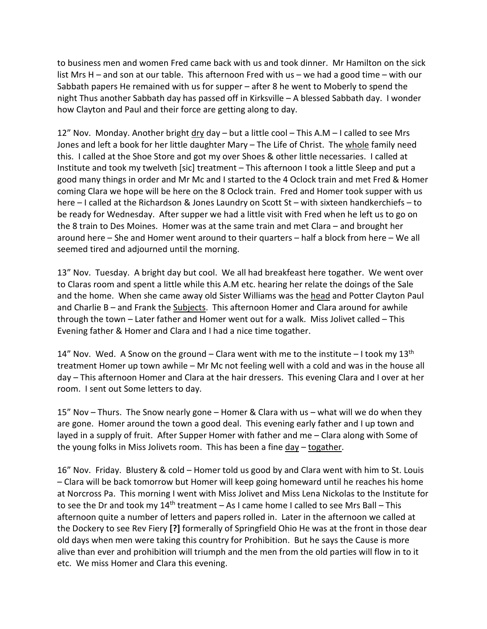to business men and women Fred came back with us and took dinner. Mr Hamilton on the sick list Mrs H – and son at our table. This afternoon Fred with us – we had a good time – with our Sabbath papers He remained with us for supper – after 8 he went to Moberly to spend the night Thus another Sabbath day has passed off in Kirksville – A blessed Sabbath day. I wonder how Clayton and Paul and their force are getting along to day.

12" Nov. Monday. Another bright dry day – but a little cool – This A.M – I called to see Mrs Jones and left a book for her little daughter Mary - The Life of Christ. The whole family need this. I called at the Shoe Store and got my over Shoes & other little necessaries. I called at Institute and took my twelveth [sic] treatment – This afternoon I took a little Sleep and put a good many things in order and Mr Mc and I started to the 4 Oclock train and met Fred & Homer coming Clara we hope will be here on the 8 Oclock train. Fred and Homer took supper with us here – I called at the Richardson & Jones Laundry on Scott St – with sixteen handkerchiefs – to be ready for Wednesday. After supper we had a little visit with Fred when he left us to go on the 8 train to Des Moines. Homer was at the same train and met Clara – and brought her around here – She and Homer went around to their quarters – half a block from here – We all seemed tired and adjourned until the morning.

13" Nov. Tuesday. A bright day but cool. We all had breakfeast here togather. We went over to Claras room and spent a little while this A.M etc. hearing her relate the doings of the Sale and the home. When she came away old Sister Williams was the head and Potter Clayton Paul and Charlie B – and Frank the Subjects. This afternoon Homer and Clara around for awhile through the town – Later father and Homer went out for a walk. Miss Jolivet called – This Evening father & Homer and Clara and I had a nice time togather.

14" Nov. Wed. A Snow on the ground – Clara went with me to the institute – I took my  $13<sup>th</sup>$ treatment Homer up town awhile – Mr Mc not feeling well with a cold and was in the house all day – This afternoon Homer and Clara at the hair dressers. This evening Clara and I over at her room. I sent out Some letters to day.

15" Nov – Thurs. The Snow nearly gone – Homer & Clara with us – what will we do when they are gone. Homer around the town a good deal. This evening early father and I up town and layed in a supply of fruit. After Supper Homer with father and me – Clara along with Some of the young folks in Miss Jolivets room. This has been a fine day – togather.

16" Nov. Friday. Blustery & cold – Homer told us good by and Clara went with him to St. Louis – Clara will be back tomorrow but Homer will keep going homeward until he reaches his home at Norcross Pa. This morning I went with Miss Jolivet and Miss Lena Nickolas to the Institute for to see the Dr and took my  $14<sup>th</sup>$  treatment – As I came home I called to see Mrs Ball – This afternoon quite a number of letters and papers rolled in. Later in the afternoon we called at the Dockery to see Rev Fiery **[?]** formerally of Springfield Ohio He was at the front in those dear old days when men were taking this country for Prohibition. But he says the Cause is more alive than ever and prohibition will triumph and the men from the old parties will flow in to it etc. We miss Homer and Clara this evening.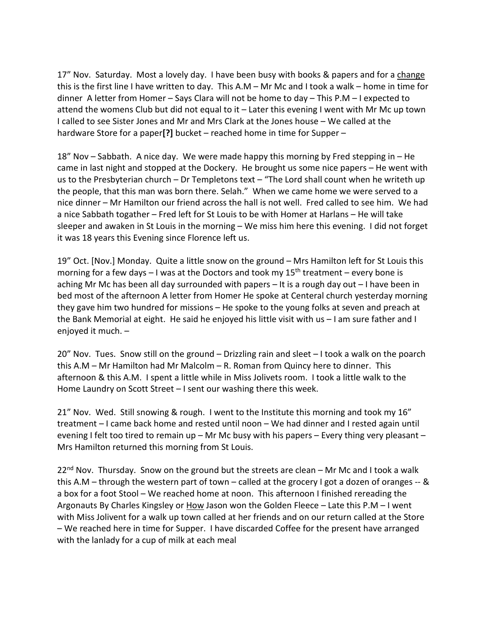17" Nov. Saturday. Most a lovely day. I have been busy with books & papers and for a change this is the first line I have written to day. This A.M – Mr Mc and I took a walk – home in time for dinner A letter from Homer – Says Clara will not be home to day – This P.M – I expected to attend the womens Club but did not equal to it – Later this evening I went with Mr Mc up town I called to see Sister Jones and Mr and Mrs Clark at the Jones house – We called at the hardware Store for a paper**[?]** bucket – reached home in time for Supper –

18" Nov – Sabbath. A nice day. We were made happy this morning by Fred stepping in – He came in last night and stopped at the Dockery. He brought us some nice papers – He went with us to the Presbyterian church – Dr Templetons text – "The Lord shall count when he writeth up the people, that this man was born there. Selah." When we came home we were served to a nice dinner – Mr Hamilton our friend across the hall is not well. Fred called to see him. We had a nice Sabbath togather – Fred left for St Louis to be with Homer at Harlans – He will take sleeper and awaken in St Louis in the morning – We miss him here this evening. I did not forget it was 18 years this Evening since Florence left us.

19" Oct. [Nov.] Monday. Quite a little snow on the ground – Mrs Hamilton left for St Louis this morning for a few days  $-1$  was at the Doctors and took my  $15<sup>th</sup>$  treatment – every bone is aching Mr Mc has been all day surrounded with papers – It is a rough day out – I have been in bed most of the afternoon A letter from Homer He spoke at Centeral church yesterday morning they gave him two hundred for missions – He spoke to the young folks at seven and preach at the Bank Memorial at eight. He said he enjoyed his little visit with us – I am sure father and I enjoyed it much. –

20" Nov. Tues. Snow still on the ground – Drizzling rain and sleet – I took a walk on the poarch this A.M – Mr Hamilton had Mr Malcolm – R. Roman from Quincy here to dinner. This afternoon & this A.M. I spent a little while in Miss Jolivets room. I took a little walk to the Home Laundry on Scott Street – I sent our washing there this week.

21" Nov. Wed. Still snowing & rough. I went to the Institute this morning and took my 16" treatment – I came back home and rested until noon – We had dinner and I rested again until evening I felt too tired to remain up – Mr Mc busy with his papers – Every thing very pleasant – Mrs Hamilton returned this morning from St Louis.

 $22<sup>nd</sup>$  Nov. Thursday. Snow on the ground but the streets are clean – Mr Mc and I took a walk this A.M – through the western part of town – called at the grocery I got a dozen of oranges -- & a box for a foot Stool – We reached home at noon. This afternoon I finished rereading the Argonauts By Charles Kingsley or How Jason won the Golden Fleece – Late this P.M – I went with Miss Jolivent for a walk up town called at her friends and on our return called at the Store – We reached here in time for Supper. I have discarded Coffee for the present have arranged with the lanlady for a cup of milk at each meal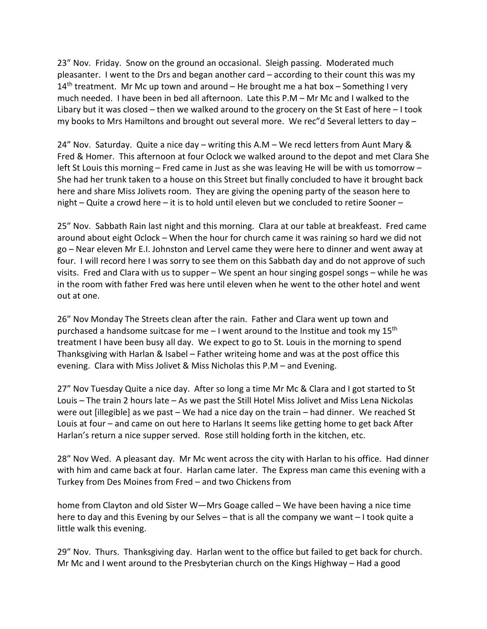23" Nov. Friday. Snow on the ground an occasional. Sleigh passing. Moderated much pleasanter. I went to the Drs and began another card – according to their count this was my  $14<sup>th</sup>$  treatment. Mr Mc up town and around – He brought me a hat box – Something I very much needed. I have been in bed all afternoon. Late this P.M – Mr Mc and I walked to the Libary but it was closed – then we walked around to the grocery on the St East of here – I took my books to Mrs Hamiltons and brought out several more. We rec"d Several letters to day –

24" Nov. Saturday. Quite a nice day – writing this A.M – We recd letters from Aunt Mary & Fred & Homer. This afternoon at four Oclock we walked around to the depot and met Clara She left St Louis this morning – Fred came in Just as she was leaving He will be with us tomorrow – She had her trunk taken to a house on this Street but finally concluded to have it brought back here and share Miss Jolivets room. They are giving the opening party of the season here to night – Quite a crowd here – it is to hold until eleven but we concluded to retire Sooner –

25" Nov. Sabbath Rain last night and this morning. Clara at our table at breakfeast. Fred came around about eight Oclock – When the hour for church came it was raining so hard we did not go – Near eleven Mr E.I. Johnston and Lervel came they were here to dinner and went away at four. I will record here I was sorry to see them on this Sabbath day and do not approve of such visits. Fred and Clara with us to supper – We spent an hour singing gospel songs – while he was in the room with father Fred was here until eleven when he went to the other hotel and went out at one.

26" Nov Monday The Streets clean after the rain. Father and Clara went up town and purchased a handsome suitcase for me  $-1$  went around to the Institue and took my 15<sup>th</sup> treatment I have been busy all day. We expect to go to St. Louis in the morning to spend Thanksgiving with Harlan & Isabel – Father writeing home and was at the post office this evening. Clara with Miss Jolivet & Miss Nicholas this P.M – and Evening.

27" Nov Tuesday Quite a nice day. After so long a time Mr Mc & Clara and I got started to St Louis – The train 2 hours late – As we past the Still Hotel Miss Jolivet and Miss Lena Nickolas were out [illegible] as we past – We had a nice day on the train – had dinner. We reached St Louis at four – and came on out here to Harlans It seems like getting home to get back After Harlan's return a nice supper served. Rose still holding forth in the kitchen, etc.

28" Nov Wed. A pleasant day. Mr Mc went across the city with Harlan to his office. Had dinner with him and came back at four. Harlan came later. The Express man came this evening with a Turkey from Des Moines from Fred – and two Chickens from

home from Clayton and old Sister W—Mrs Goage called – We have been having a nice time here to day and this Evening by our Selves – that is all the company we want – I took quite a little walk this evening.

29" Nov. Thurs. Thanksgiving day. Harlan went to the office but failed to get back for church. Mr Mc and I went around to the Presbyterian church on the Kings Highway – Had a good